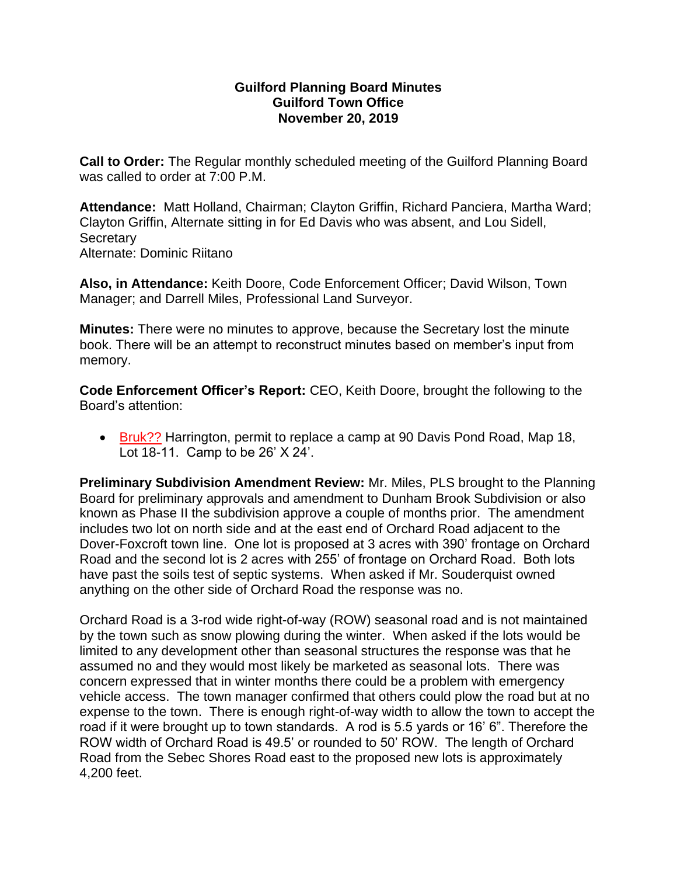## **Guilford Planning Board Minutes Guilford Town Office November 20, 2019**

**Call to Order:** The Regular monthly scheduled meeting of the Guilford Planning Board was called to order at 7:00 P.M.

**Attendance:** Matt Holland, Chairman; Clayton Griffin, Richard Panciera, Martha Ward; Clayton Griffin, Alternate sitting in for Ed Davis who was absent, and Lou Sidell, **Secretary** Alternate: Dominic Riitano

**Also, in Attendance:** Keith Doore, Code Enforcement Officer; David Wilson, Town Manager; and Darrell Miles, Professional Land Surveyor.

**Minutes:** There were no minutes to approve, because the Secretary lost the minute book. There will be an attempt to reconstruct minutes based on member's input from memory.

**Code Enforcement Officer's Report:** CEO, Keith Doore, brought the following to the Board's attention:

• Bruk?? Harrington, permit to replace a camp at 90 Davis Pond Road, Map 18, Lot 18-11. Camp to be 26' X 24'.

**Preliminary Subdivision Amendment Review:** Mr. Miles, PLS brought to the Planning Board for preliminary approvals and amendment to Dunham Brook Subdivision or also known as Phase II the subdivision approve a couple of months prior. The amendment includes two lot on north side and at the east end of Orchard Road adjacent to the Dover-Foxcroft town line. One lot is proposed at 3 acres with 390' frontage on Orchard Road and the second lot is 2 acres with 255' of frontage on Orchard Road. Both lots have past the soils test of septic systems. When asked if Mr. Souderquist owned anything on the other side of Orchard Road the response was no.

Orchard Road is a 3-rod wide right-of-way (ROW) seasonal road and is not maintained by the town such as snow plowing during the winter. When asked if the lots would be limited to any development other than seasonal structures the response was that he assumed no and they would most likely be marketed as seasonal lots. There was concern expressed that in winter months there could be a problem with emergency vehicle access. The town manager confirmed that others could plow the road but at no expense to the town. There is enough right-of-way width to allow the town to accept the road if it were brought up to town standards. A rod is 5.5 yards or 16' 6". Therefore the ROW width of Orchard Road is 49.5' or rounded to 50' ROW. The length of Orchard Road from the Sebec Shores Road east to the proposed new lots is approximately 4,200 feet.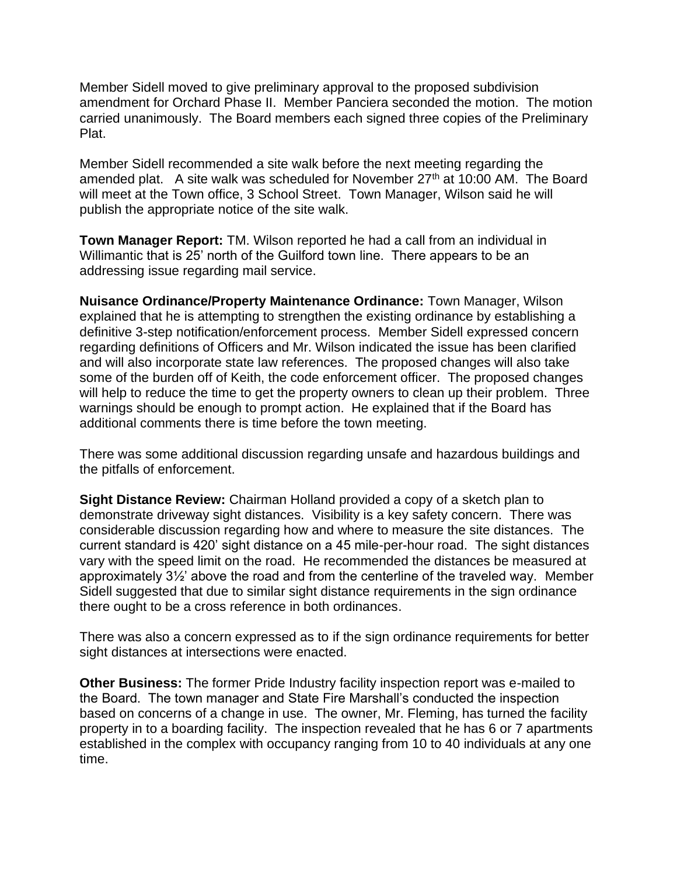Member Sidell moved to give preliminary approval to the proposed subdivision amendment for Orchard Phase II. Member Panciera seconded the motion. The motion carried unanimously. The Board members each signed three copies of the Preliminary Plat.

Member Sidell recommended a site walk before the next meeting regarding the amended plat. A site walk was scheduled for November 27<sup>th</sup> at 10:00 AM. The Board will meet at the Town office, 3 School Street. Town Manager, Wilson said he will publish the appropriate notice of the site walk.

**Town Manager Report:** TM. Wilson reported he had a call from an individual in Willimantic that is 25' north of the Guilford town line. There appears to be an addressing issue regarding mail service.

**Nuisance Ordinance/Property Maintenance Ordinance:** Town Manager, Wilson explained that he is attempting to strengthen the existing ordinance by establishing a definitive 3-step notification/enforcement process. Member Sidell expressed concern regarding definitions of Officers and Mr. Wilson indicated the issue has been clarified and will also incorporate state law references. The proposed changes will also take some of the burden off of Keith, the code enforcement officer. The proposed changes will help to reduce the time to get the property owners to clean up their problem. Three warnings should be enough to prompt action. He explained that if the Board has additional comments there is time before the town meeting.

There was some additional discussion regarding unsafe and hazardous buildings and the pitfalls of enforcement.

**Sight Distance Review:** Chairman Holland provided a copy of a sketch plan to demonstrate driveway sight distances. Visibility is a key safety concern. There was considerable discussion regarding how and where to measure the site distances. The current standard is 420' sight distance on a 45 mile-per-hour road. The sight distances vary with the speed limit on the road. He recommended the distances be measured at approximately 3½' above the road and from the centerline of the traveled way. Member Sidell suggested that due to similar sight distance requirements in the sign ordinance there ought to be a cross reference in both ordinances.

There was also a concern expressed as to if the sign ordinance requirements for better sight distances at intersections were enacted.

**Other Business:** The former Pride Industry facility inspection report was e-mailed to the Board. The town manager and State Fire Marshall's conducted the inspection based on concerns of a change in use. The owner, Mr. Fleming, has turned the facility property in to a boarding facility. The inspection revealed that he has 6 or 7 apartments established in the complex with occupancy ranging from 10 to 40 individuals at any one time.